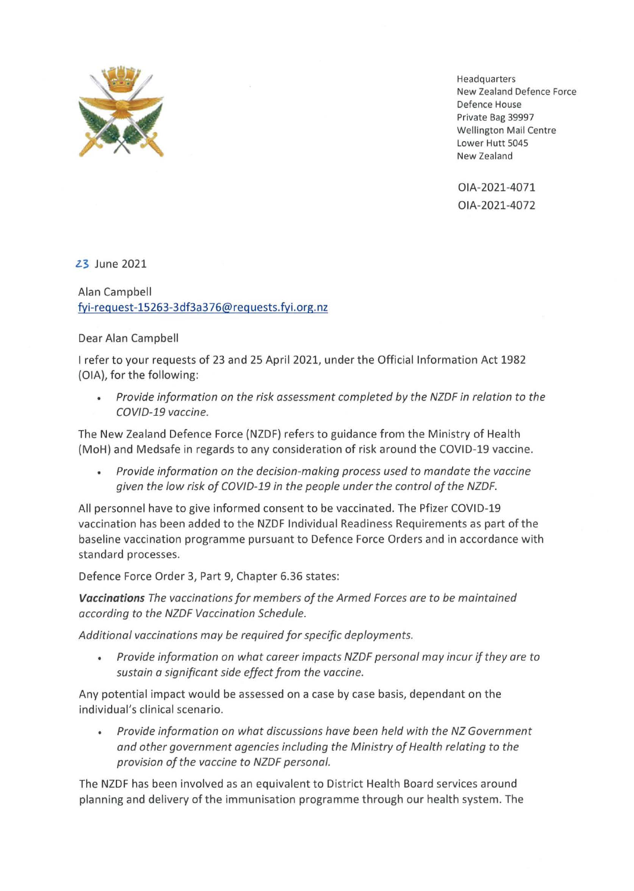

Headquarters New Zealand Defence Force Defence House Private Bag 39997 Wellington Mail Centre Lower Hutt 5045 New Zealand

OIA-2021-4071 OIA-2021-4072

23 June 2021

Alan Campbell fyi-request-15263-3df3a376@requests.fyi.org.nz

## Dear Alan Campbell

I refer to your requests of 23 and 25 April 2021, under the Official Information Act 1982 (OIA), for the following:

• *Provide information on the risk assessment completed by the NZDF in relation to the COV/0-19 vaccine.* 

The New Zealand Defence Force (NZDF) refers to guidance from the Ministry of Health (MoH} and Medsafe in regards to any consideration of risk around the COVID-19 vaccine.

*Provide information on the decision-making process used to mandate the vaccine given the low risk of COV/0-19 in the people under the control of the NZDF.* 

All personnel have to give informed consent to be vaccinated. The Pfizer COVID-19 vaccination has been added to the NZDF Individual Readiness Requirements as part of the baseline vaccination programme pursuant to Defence Force Orders and in accordance with standard processes.

Defence Force Order 3, Part 9, Chapter 6.36 states:

*Vaccinations The vaccinations for members of the Armed Forces are to be maintained according to the NZDF Vaccination Schedule.* 

*Additional vaccinations may be required for specific deployments.* 

*Provide information on what career impacts NZDF personal may incur if they are to sustain a significant side effect from the vaccine.* 

Any potential impact would be assessed on a case by case basis, dependant on the individual's clinical scenario.

*Provide information on what discussions have been held with the NZ Government and other government agencies including the Ministry of Health relating to the provision of the vaccine to NZDF personal.* 

The NZDF has been involved as an equivalent to District Health Board services around planning and delivery of the immunisation programme through our health system. The